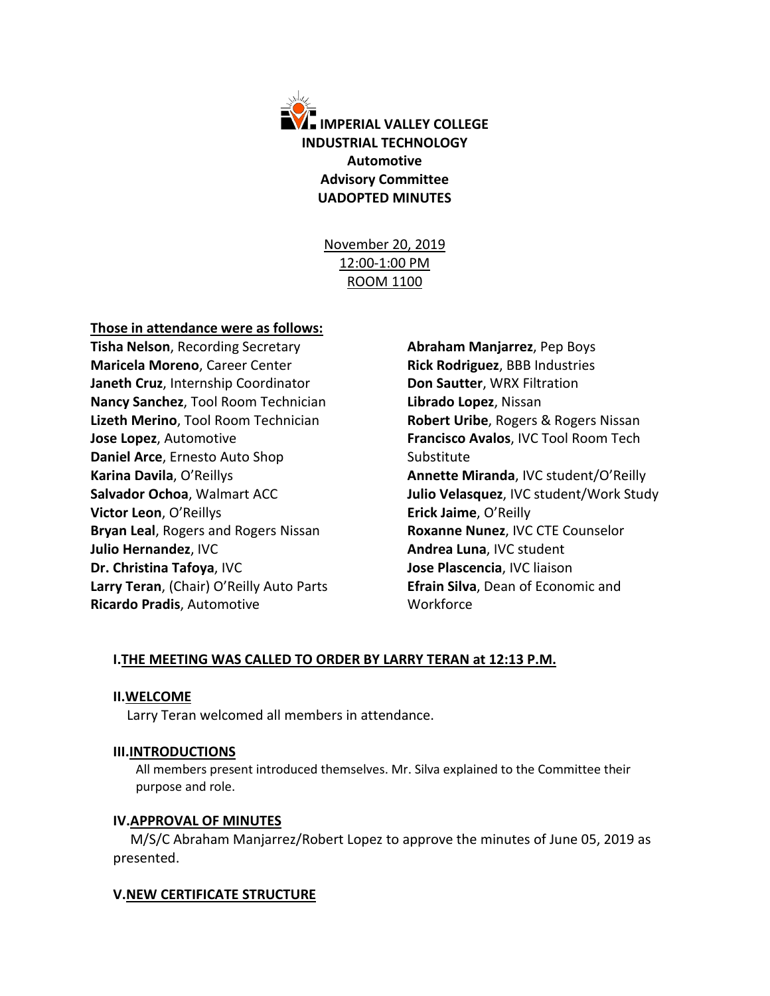

November 20, 2019 12:00-1:00 PM ROOM 1100

#### **Those in attendance were as follows:**

**Tisha Nelson**, Recording Secretary **Maricela Moreno**, Career Center **Janeth Cruz**, Internship Coordinator **Nancy Sanchez**, Tool Room Technician **Lizeth Merino**, Tool Room Technician **Jose Lopez**, Automotive **Daniel Arce**, Ernesto Auto Shop **Karina Davila**, O'Reillys **Salvador Ochoa**, Walmart ACC **Victor Leon**, O'Reillys **Bryan Leal**, Rogers and Rogers Nissan **Julio Hernandez**, IVC **Dr. Christina Tafoya**, IVC **Larry Teran**, (Chair) O'Reilly Auto Parts **Ricardo Pradis**, Automotive

**Abraham Manjarrez**, Pep Boys **Rick Rodriguez**, BBB Industries **Don Sautter**, WRX Filtration **Librado Lopez**, Nissan **Robert Uribe**, Rogers & Rogers Nissan **Francisco Avalos**, IVC Tool Room Tech Substitute **Annette Miranda**, IVC student/O'Reilly **Julio Velasquez**, IVC student/Work Study **Erick Jaime**, O'Reilly **Roxanne Nunez**, IVC CTE Counselor **Andrea Luna**, IVC student **Jose Plascencia**, IVC liaison **Efrain Silva**, Dean of Economic and Workforce

### **I.THE MEETING WAS CALLED TO ORDER BY LARRY TERAN at 12:13 P.M.**

#### **II.WELCOME**

Larry Teran welcomed all members in attendance.

### **III.INTRODUCTIONS**

All members present introduced themselves. Mr. Silva explained to the Committee their purpose and role.

### **IV.APPROVAL OF MINUTES**

 M/S/C Abraham Manjarrez/Robert Lopez to approve the minutes of June 05, 2019 as presented.

### **V.NEW CERTIFICATE STRUCTURE**